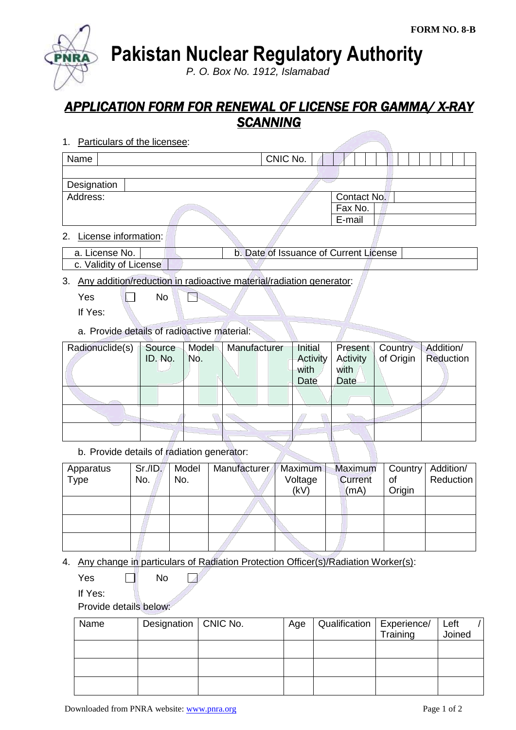**Pakistan Nuclear Regulatory Authority**

*P. O. Box No. 1912, Islamabad*

## *APPLICATION FORM FOR RENEWAL OF LICENSE FOR GAMMA/ X-RAY SCANNING*

1. Particulars of the licensee:

| Name        | CNIC No. |             |  |
|-------------|----------|-------------|--|
|             |          |             |  |
| Designation |          |             |  |
| Address:    |          | Contact No. |  |
|             |          | Fax No.     |  |
|             |          | E-mail      |  |
|             |          |             |  |

2. License information:

| a. License No.         | b. Date of Issuance of Current License |  |
|------------------------|----------------------------------------|--|
| c. Validity of License |                                        |  |

## 3. Any addition/reduction in radioactive material/radiation generator:

 $Yes \t N$ P

If Yes:

a. Provide details of radioactive material:

| Radionuclide(s) | Source  | Model | Manufacturer | Initial  | Present  | Country   | Addition/ |
|-----------------|---------|-------|--------------|----------|----------|-----------|-----------|
|                 | ID. No. | No.   |              | Activity | Activity | of Origin | Reduction |
|                 |         |       |              | with     | with     |           |           |
|                 |         |       |              | Date     | Date     |           |           |
|                 |         |       |              |          |          |           |           |
|                 |         |       |              |          |          |           |           |
|                 |         |       |              |          |          |           |           |

b. Provide details of radiation generator:

| Apparatus | Sr.I.D. | Model | Manufacturer | <b>Maximum</b> | Maximum | <b>Country</b> | Addition/ |
|-----------|---------|-------|--------------|----------------|---------|----------------|-----------|
| Type      | No.     | No.   |              | Voltage        | Current | οf             | Reduction |
|           |         |       |              | (kV)           | (mA)    | Origin         |           |
|           |         |       |              |                |         |                |           |
|           |         |       |              |                |         |                |           |
|           |         |       |              |                |         |                |           |

4. Any change in particulars of Radiation Protection Officer(s)/Radiation Worker(s):

| Yes | No |  |
|-----|----|--|
|     |    |  |

If Yes:

Provide details below:

| Name | Designation   CNIC No. | Age | Qualification   Experience/ | Training | Left<br>Joined |
|------|------------------------|-----|-----------------------------|----------|----------------|
|      |                        |     |                             |          |                |
|      |                        |     |                             |          |                |
|      |                        |     |                             |          |                |